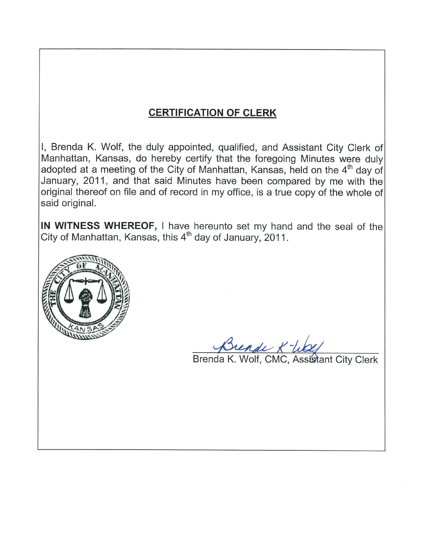# **CERTIFICATION OF CLERK**

I, Brenda K. Wolf, the duly appointed, qualified, and Assistant City Clerk of Manhattan, Kansas, do hereby certify that the foregoing Minutes were duly adopted at a meeting of the City of Manhattan, Kansas, held on the 4<sup>th</sup> day of January, 2011, and that said Minutes have been compared by me with the original thereof on file and of record in my office, is a true copy of the whole of said original.

IN WITNESS WHEREOF, I have hereunto set my hand and the seal of the City of Manhattan, Kansas, this 4<sup>th</sup> day of January, 2011.



Brende X-We

Brenda K. Wolf, CMC, Assistant City Clerk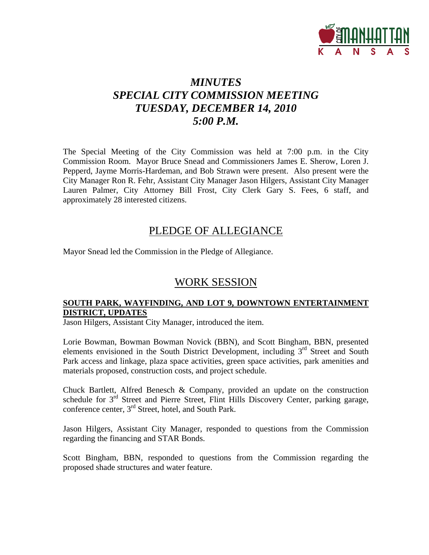

# *MINUTES SPECIAL CITY COMMISSION MEETING TUESDAY, DECEMBER 14, 2010 5:00 P.M.*

The Special Meeting of the City Commission was held at 7:00 p.m. in the City Commission Room. Mayor Bruce Snead and Commissioners James E. Sherow, Loren J. Pepperd, Jayme Morris-Hardeman, and Bob Strawn were present. Also present were the City Manager Ron R. Fehr, Assistant City Manager Jason Hilgers, Assistant City Manager Lauren Palmer, City Attorney Bill Frost, City Clerk Gary S. Fees, 6 staff, and approximately 28 interested citizens.

### PLEDGE OF ALLEGIANCE

Mayor Snead led the Commission in the Pledge of Allegiance.

### WORK SESSION

#### **SOUTH PARK, WAYFINDING, AND LOT 9, DOWNTOWN ENTERTAINMENT DISTRICT, UPDATES**

Jason Hilgers, Assistant City Manager, introduced the item.

Lorie Bowman, Bowman Bowman Novick (BBN), and Scott Bingham, BBN, presented elements envisioned in the South District Development, including  $3<sup>rd</sup>$  Street and South Park access and linkage, plaza space activities, green space activities, park amenities and materials proposed, construction costs, and project schedule.

Chuck Bartlett, Alfred Benesch & Company, provided an update on the construction schedule for 3<sup>rd</sup> Street and Pierre Street, Flint Hills Discovery Center, parking garage, conference center, 3rd Street, hotel, and South Park.

Jason Hilgers, Assistant City Manager, responded to questions from the Commission regarding the financing and STAR Bonds.

Scott Bingham, BBN, responded to questions from the Commission regarding the proposed shade structures and water feature.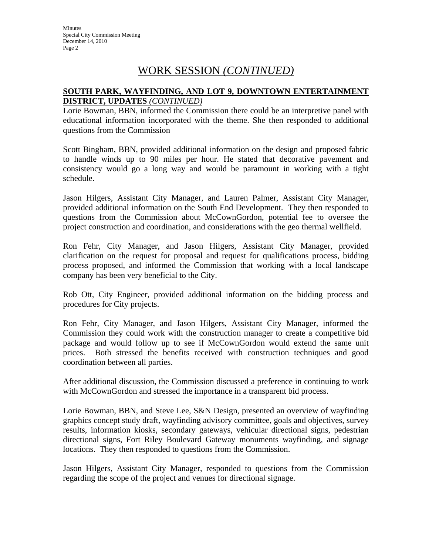**Minutes** Special City Commission Meeting December 14, 2010 Page 2

## WORK SESSION *(CONTINUED)*

#### **SOUTH PARK, WAYFINDING, AND LOT 9, DOWNTOWN ENTERTAINMENT DISTRICT, UPDATES** *(CONTINUED)*

Lorie Bowman, BBN, informed the Commission there could be an interpretive panel with educational information incorporated with the theme. She then responded to additional questions from the Commission

Scott Bingham, BBN, provided additional information on the design and proposed fabric to handle winds up to 90 miles per hour. He stated that decorative pavement and consistency would go a long way and would be paramount in working with a tight schedule.

Jason Hilgers, Assistant City Manager, and Lauren Palmer, Assistant City Manager, provided additional information on the South End Development. They then responded to questions from the Commission about McCownGordon, potential fee to oversee the project construction and coordination, and considerations with the geo thermal wellfield.

Ron Fehr, City Manager, and Jason Hilgers, Assistant City Manager, provided clarification on the request for proposal and request for qualifications process, bidding process proposed, and informed the Commission that working with a local landscape company has been very beneficial to the City.

Rob Ott, City Engineer, provided additional information on the bidding process and procedures for City projects.

Ron Fehr, City Manager, and Jason Hilgers, Assistant City Manager, informed the Commission they could work with the construction manager to create a competitive bid package and would follow up to see if McCownGordon would extend the same unit prices. Both stressed the benefits received with construction techniques and good coordination between all parties.

After additional discussion, the Commission discussed a preference in continuing to work with McCownGordon and stressed the importance in a transparent bid process.

Lorie Bowman, BBN, and Steve Lee, S&N Design, presented an overview of wayfinding graphics concept study draft, wayfinding advisory committee, goals and objectives, survey results, information kiosks, secondary gateways, vehicular directional signs, pedestrian directional signs, Fort Riley Boulevard Gateway monuments wayfinding, and signage locations. They then responded to questions from the Commission.

Jason Hilgers, Assistant City Manager, responded to questions from the Commission regarding the scope of the project and venues for directional signage.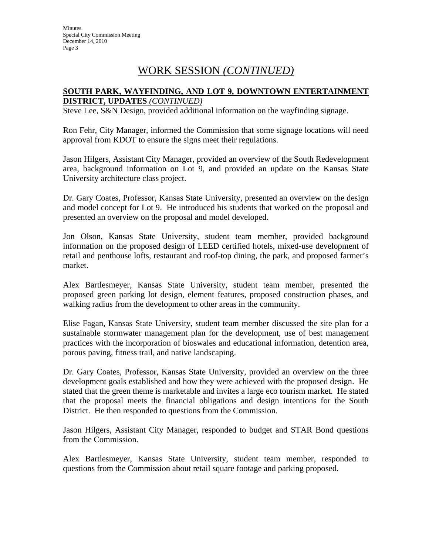# WORK SESSION *(CONTINUED)*

#### **SOUTH PARK, WAYFINDING, AND LOT 9, DOWNTOWN ENTERTAINMENT DISTRICT, UPDATES** *(CONTINUED)*

Steve Lee, S&N Design, provided additional information on the wayfinding signage.

Ron Fehr, City Manager, informed the Commission that some signage locations will need approval from KDOT to ensure the signs meet their regulations.

Jason Hilgers, Assistant City Manager, provided an overview of the South Redevelopment area, background information on Lot 9, and provided an update on the Kansas State University architecture class project.

Dr. Gary Coates, Professor, Kansas State University, presented an overview on the design and model concept for Lot 9. He introduced his students that worked on the proposal and presented an overview on the proposal and model developed.

Jon Olson, Kansas State University, student team member, provided background information on the proposed design of LEED certified hotels, mixed-use development of retail and penthouse lofts, restaurant and roof-top dining, the park, and proposed farmer's market.

Alex Bartlesmeyer, Kansas State University, student team member, presented the proposed green parking lot design, element features, proposed construction phases, and walking radius from the development to other areas in the community.

Elise Fagan, Kansas State University, student team member discussed the site plan for a sustainable stormwater management plan for the development, use of best management practices with the incorporation of bioswales and educational information, detention area, porous paving, fitness trail, and native landscaping.

Dr. Gary Coates, Professor, Kansas State University, provided an overview on the three development goals established and how they were achieved with the proposed design. He stated that the green theme is marketable and invites a large eco tourism market. He stated that the proposal meets the financial obligations and design intentions for the South District. He then responded to questions from the Commission.

Jason Hilgers, Assistant City Manager, responded to budget and STAR Bond questions from the Commission.

Alex Bartlesmeyer, Kansas State University, student team member, responded to questions from the Commission about retail square footage and parking proposed.